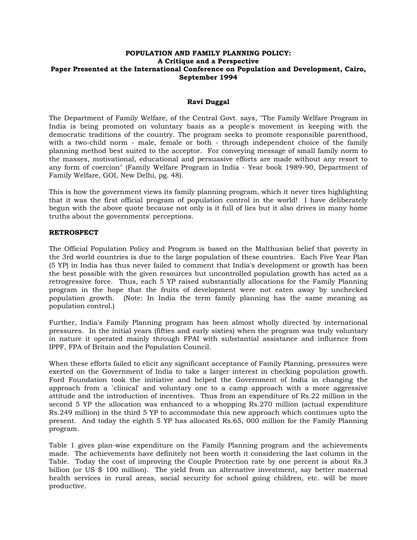### **POPULATION AND FAMILY PLANNING POLICY: A Critique and a Perspective Paper Presented at the International Conference on Population and Development, Cairo, September 1994**

#### **Ravi Duggal**

The Department of Family Welfare, of the Central Govt. says, "The Family Welfare Program in India is being promoted on voluntary basis as a people's movement in keeping with the democratic traditions of the country. The program seeks to promote responsible parenthood, with a two-child norm - male, female or both - through independent choice of the family planning method best suited to the acceptor. For conveying message of small family norm to the masses, motivational, educational and persuasive efforts are made without any resort to any form of coercion" (Family Welfare Program in India - Year book 1989-90, Department of Family Welfare, GOI, New Delhi, pg. 48).

This is how the government views its family planning program, which it never tires highlighting that it was the first official program of population control in the world! I have deliberately begun with the above quote because not only is it full of lies but it also drives in many home truths about the governments' perceptions.

#### **RETROSPECT**

The Official Population Policy and Program is based on the Malthusian belief that poverty in the 3rd world countries is due to the large population of these countries. Each Five Year Plan (5 YP) in India has thus never failed to comment that India's development or growth has been the best possible with the given resources but uncontrolled population growth has acted as a retrogressive force. Thus, each 5 YP raised substantially allocations for the Family Planning program in the hope that the fruits of development were not eaten away by unchecked population growth. (Note: In India the term family planning has the same meaning as population control.)

Further, India's Family Planning program has been almost wholly directed by international pressures. In the initial years (fifties and early sixties) when the program was truly voluntary in nature it operated mainly through FPAI with substantial assistance and influence from IPPF, FPA of Britain and the Population Council.

When these efforts failed to elicit any significant acceptance of Family Planning, pressures were exerted on the Government of India to take a larger interest in checking population growth. Ford Foundation took the initiative and helped the Government of India in changing the approach from a `clinical' and voluntary one to a camp approach with a more aggressive attitude and the introduction of incentives. Thus from an expenditure of Rs.22 million in the second 5 YP the allocation was enhanced to a whopping Rs.270 million (actual expenditure Rs.249 million) in the third 5 YP to accommodate this new approach which continues upto the present. And today the eighth 5 YP has allocated Rs.65, 000 million for the Family Planning program.

Table 1 gives plan-wise expenditure on the Family Planning program and the achievements made. The achievements have definitely not been worth it considering the last column in the Table. Today the cost of improving the Couple Protection rate by one percent is about Rs.3 billion (or US \$ 100 million). The yield from an alternative investment, say better maternal health services in rural areas, social security for school going children, etc. will be more productive.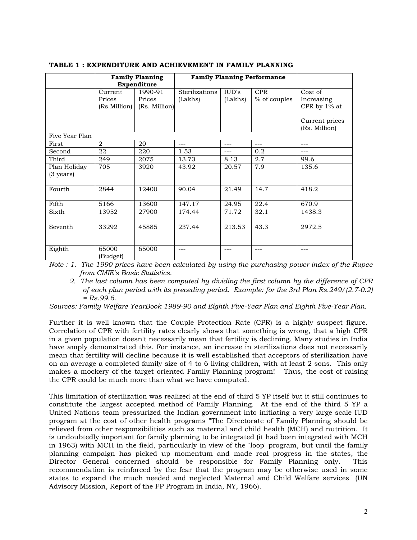|                     | <b>Family Planning</b><br>Expenditure |               | <b>Family Planning Performance</b> |         |              |                |
|---------------------|---------------------------------------|---------------|------------------------------------|---------|--------------|----------------|
|                     | Current                               | 1990-91       | <b>Sterilizations</b>              | IUD's   | <b>CPR</b>   | Cost of        |
|                     | Prices                                | Prices        | (Lakhs)                            | (Lakhs) | % of couples | Increasing     |
|                     | (Rs.Million)                          | (Rs. Million) |                                    |         |              | CPR by 1% at   |
|                     |                                       |               |                                    |         |              |                |
|                     |                                       |               |                                    |         |              | Current prices |
|                     |                                       |               |                                    |         |              | (Rs. Million)  |
| Five Year Plan      |                                       |               |                                    |         |              |                |
| First               | 2                                     | 20            | $---$                              | $---$   | ---          | $---$          |
| Second              | 22                                    | 220           | 1.53                               | ---     | 0.2          |                |
| Third               | 249                                   | 2075          | 13.73                              | 8.13    | 2.7          | 99.6           |
| Plan Holiday        | 705                                   | 3920          | 43.92                              | 20.57   | 7.9          | 135.6          |
| $(3 \text{ years})$ |                                       |               |                                    |         |              |                |
|                     |                                       |               |                                    |         |              |                |
| Fourth              | 2844                                  | 12400         | 90.04                              | 21.49   | 14.7         | 418.2          |
|                     |                                       |               |                                    |         |              |                |
| Fifth               | 5166                                  | 13600         | 147.17                             | 24.95   | 22.4         | 670.9          |
| Sixth               | 13952                                 | 27900         | 174.44                             | 71.72   | 32.1         | 1438.3         |
|                     |                                       |               |                                    |         |              |                |
| Seventh             | 33292                                 | 45885         | 237.44                             | 213.53  | 43.3         | 2972.5         |
|                     |                                       |               |                                    |         |              |                |
|                     |                                       |               |                                    |         |              |                |
| Eighth              | 65000                                 | 65000         | ---                                | ---     | ---          | $---$          |
|                     | (Budget)                              |               |                                    |         |              |                |

### **TABLE 1 : EXPENDITURE AND ACHIEVEMENT IN FAMILY PLANNING**

*Note : 1. The 1990 prices have been calculated by using the purchasing power index of the Rupee from CMIE's Basic Statistics.* 

 *2. The last column has been computed by dividing the first column by the difference of CPR of each plan period with its preceding period. Example: for the 3rd Plan Rs.249/(2.7-0.2) = Rs.99.6.* 

*Sources: Family Welfare YearBook 1989-90 and Eighth Five-Year Plan and Eighth Five-Year Plan.* 

Further it is well known that the Couple Protection Rate (CPR) is a highly suspect figure. Correlation of CPR with fertility rates clearly shows that something is wrong, that a high CPR in a given population doesn't necessarily mean that fertility is declining. Many studies in India have amply demonstrated this. For instance, an increase in sterilizations does not necessarily mean that fertility will decline because it is well established that acceptors of sterilization have on an average a completed family size of 4 to 6 living children, with at least 2 sons. This only makes a mockery of the target oriented Family Planning program! Thus, the cost of raising the CPR could be much more than what we have computed.

This limitation of sterilization was realized at the end of third 5 YP itself but it still continues to constitute the largest accepted method of Family Planning. At the end of the third 5 YP a United Nations team pressurized the Indian government into initiating a very large scale IUD program at the cost of other health programs "The Directorate of Family Planning should be relieved from other responsibilities such as maternal and child health (MCH) and nutrition. It is undoubtedly important for family planning to be integrated (it had been integrated with MCH in 1963) with MCH in the field, particularly in view of the `loop' program, but until the family planning campaign has picked up momentum and made real progress in the states, the Director General concerned should be responsible for Family Planning only. This recommendation is reinforced by the fear that the program may be otherwise used in some states to expand the much needed and neglected Maternal and Child Welfare services" (UN Advisory Mission, Report of the FP Program in India, NY, 1966).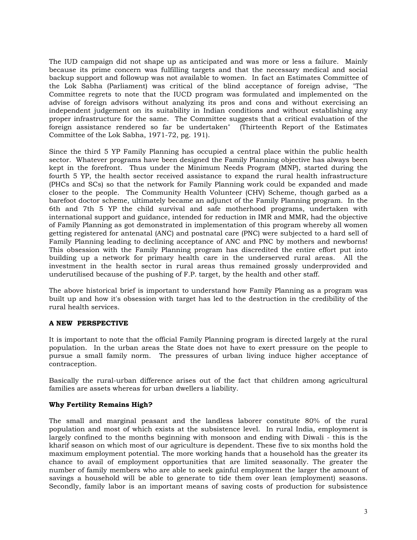The IUD campaign did not shape up as anticipated and was more or less a failure. Mainly because its prime concern was fulfilling targets and that the necessary medical and social backup support and followup was not available to women. In fact an Estimates Committee of the Lok Sabha (Parliament) was critical of the blind acceptance of foreign advise, "The Committee regrets to note that the IUCD program was formulated and implemented on the advise of foreign advisors without analyzing its pros and cons and without exercising an independent judgement on its suitability in Indian conditions and without establishing any proper infrastructure for the same. The Committee suggests that a critical evaluation of the foreign assistance rendered so far be undertaken" (Thirteenth Report of the Estimates Committee of the Lok Sabha, 1971-72, pg. 191).

Since the third 5 YP Family Planning has occupied a central place within the public health sector. Whatever programs have been designed the Family Planning objective has always been kept in the forefront. Thus under the Minimum Needs Program (MNP), started during the fourth 5 YP, the health sector received assistance to expand the rural health infrastructure (PHCs and SCs) so that the network for Family Planning work could be expanded and made closer to the people. The Community Health Volunteer (CHV) Scheme, though garbed as a barefoot doctor scheme, ultimately became an adjunct of the Family Planning program. In the 6th and 7th 5 YP the child survival and safe motherhood programs, undertaken with international support and guidance, intended for reduction in IMR and MMR, had the objective of Family Planning as got demonstrated in implementation of this program whereby all women getting registered for antenatal (ANC) and postnatal care (PNC) were subjected to a hard sell of Family Planning leading to declining acceptance of ANC and PNC by mothers and newborns! This obsession with the Family Planning program has discredited the entire effort put into building up a network for primary health care in the underserved rural areas. All the investment in the health sector in rural areas thus remained grossly underprovided and underutilised because of the pushing of F.P. target, by the health and other staff.

The above historical brief is important to understand how Family Planning as a program was built up and how it's obsession with target has led to the destruction in the credibility of the rural health services.

# **A NEW PERSPECTIVE**

It is important to note that the official Family Planning program is directed largely at the rural population. In the urban areas the State does not have to exert pressure on the people to pursue a small family norm. The pressures of urban living induce higher acceptance of contraception.

Basically the rural-urban difference arises out of the fact that children among agricultural families are assets whereas for urban dwellers a liability.

# **Why Fertility Remains High?**

The small and marginal peasant and the landless laborer constitute 80% of the rural population and most of which exists at the subsistence level. In rural India, employment is largely confined to the months beginning with monsoon and ending with Diwali - this is the kharif season on which most of our agriculture is dependent. These five to six months hold the maximum employment potential. The more working hands that a household has the greater its chance to avail of employment opportunities that are limited seasonally. The greater the number of family members who are able to seek gainful employment the larger the amount of savings a household will be able to generate to tide them over lean (employment) seasons. Secondly, family labor is an important means of saving costs of production for subsistence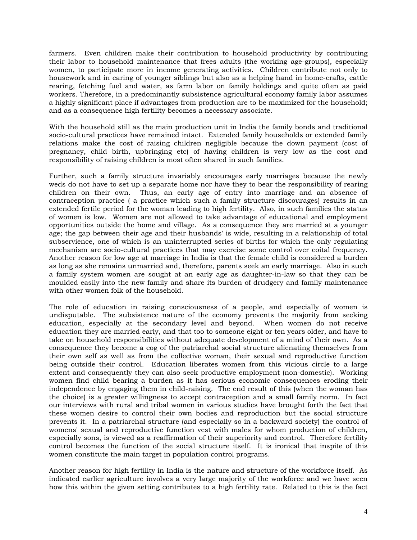farmers. Even children make their contribution to household productivity by contributing their labor to household maintenance that frees adults (the working age-groups), especially women, to participate more in income generating activities. Children contribute not only to housework and in caring of younger siblings but also as a helping hand in home-crafts, cattle rearing, fetching fuel and water, as farm labor on family holdings and quite often as paid workers. Therefore, in a predominantly subsistence agricultural economy family labor assumes a highly significant place if advantages from production are to be maximized for the household; and as a consequence high fertility becomes a necessary associate.

With the household still as the main production unit in India the family bonds and traditional socio-cultural practices have remained intact. Extended family households or extended family relations make the cost of raising children negligible because the down payment (cost of pregnancy, child birth, upbringing etc) of having children is very low as the cost and responsibility of raising children is most often shared in such families.

Further, such a family structure invariably encourages early marriages because the newly weds do not have to set up a separate home nor have they to bear the responsibility of rearing children on their own. Thus, an early age of entry into marriage and an absence of contraception practice ( a practice which such a family structure discourages) results in an extended fertile period for the woman leading to high fertility. Also, in such families the status of women is low. Women are not allowed to take advantage of educational and employment opportunities outside the home and village. As a consequence they are married at a younger age; the gap between their age and their husbands' is wide, resulting in a relationship of total subservience, one of which is an uninterrupted series of births for which the only regulating mechanism are socio-cultural practices that may exercise some control over coital frequency. Another reason for low age at marriage in India is that the female child is considered a burden as long as she remains unmarried and, therefore, parents seek an early marriage. Also in such a family system women are sought at an early age as daughter-in-law so that they can be moulded easily into the new family and share its burden of drudgery and family maintenance with other women folk of the household.

The role of education in raising consciousness of a people, and especially of women is undisputable. The subsistence nature of the economy prevents the majority from seeking education, especially at the secondary level and beyond. When women do not receive education they are married early, and that too to someone eight or ten years older, and have to take on household responsibilities without adequate development of a mind of their own. As a consequence they become a cog of the patriarchal social structure alienating themselves from their own self as well as from the collective woman, their sexual and reproductive function being outside their control. Education liberates women from this vicious circle to a large extent and consequently they can also seek productive employment (non-domestic). Working women find child bearing a burden as it has serious economic consequences eroding their independence by engaging them in child-raising. The end result of this (when the woman has the choice) is a greater willingness to accept contraception and a small family norm. In fact our interviews with rural and tribal women in various studies have brought forth the fact that these women desire to control their own bodies and reproduction but the social structure prevents it. In a patriarchal structure (and especially so in a backward society) the control of womens' sexual and reproductive function vest with males for whom production of children, especially sons, is viewed as a reaffirmation of their superiority and control. Therefore fertility control becomes the function of the social structure itself. It is ironical that inspite of this women constitute the main target in population control programs.

Another reason for high fertility in India is the nature and structure of the workforce itself. As indicated earlier agriculture involves a very large majority of the workforce and we have seen how this within the given setting contributes to a high fertility rate. Related to this is the fact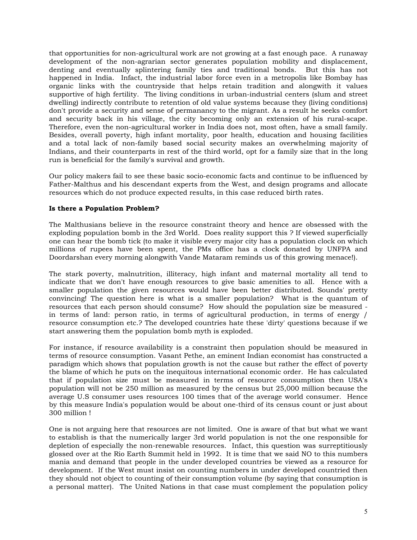that opportunities for non-agricultural work are not growing at a fast enough pace. A runaway development of the non-agrarian sector generates population mobility and displacement, denting and eventually splintering family ties and traditional bonds. But this has not happened in India. Infact, the industrial labor force even in a metropolis like Bombay has organic links with the countryside that helps retain tradition and alongwith it values supportive of high fertility. The living conditions in urban-industrial centers (slum and street dwelling) indirectly contribute to retention of old value systems because they (living conditions) don't provide a security and sense of permanancy to the migrant. As a result he seeks comfort and security back in his village, the city becoming only an extension of his rural-scape. Therefore, even the non-agricultural worker in India does not, most often, have a small family. Besides, overall poverty, high infant mortality, poor health, education and housing facilities and a total lack of non-family based social security makes an overwhelming majority of Indians, and their counterparts in rest of the third world, opt for a family size that in the long run is beneficial for the family's survival and growth.

Our policy makers fail to see these basic socio-economic facts and continue to be influenced by Father-Malthus and his descendant experts from the West, and design programs and allocate resources which do not produce expected results, in this case reduced birth rates.

# **Is there a Population Problem?**

The Malthusians believe in the resource constraint theory and hence are obsessed with the exploding population bomb in the 3rd World. Does reality support this ? If viewed superficially one can hear the bomb tick (to make it visible every major city has a population clock on which millions of rupees have been spent, the PMs office has a clock donated by UNFPA and Doordarshan every morning alongwith Vande Mataram reminds us of this growing menace!).

The stark poverty, malnutrition, illiteracy, high infant and maternal mortality all tend to indicate that we don't have enough resources to give basic amenities to all. Hence with a smaller population the given resources would have been better distributed. Sounds' pretty convincing! The question here is what is a smaller population? What is the quantum of resources that each person should consume? How should the population size be measured in terms of land: person ratio, in terms of agricultural production, in terms of energy / resource consumption etc.? The developed countries hate these 'dirty' questions because if we start answering them the population bomb myth is exploded.

For instance, if resource availability is a constraint then population should be measured in terms of resource consumption. Vasant Pethe, an eminent Indian economist has constructed a paradigm which shows that population growth is not the cause but rather the effect of poverty the blame of which he puts on the inequitous international economic order. He has calculated that if population size must be measured in terms of resource consumption then USA's population will not be 250 million as measured by the census but 25,000 million because the average U.S consumer uses resources 100 times that of the average world consumer. Hence by this measure India's population would be about one-third of its census count or just about 300 million !

One is not arguing here that resources are not limited. One is aware of that but what we want to establish is that the numerically larger 3rd world population is not the one responsible for depletion of especially the non-renewable resources. Infact, this question was surreptitiously glossed over at the Rio Earth Summit held in 1992. It is time that we said NO to this numbers mania and demand that people in the under developed countries be viewed as a resource for development. If the West must insist on counting numbers in under developed countried then they should not object to counting of their consumption volume (by saying that consumption is a personal matter). The United Nations in that case must complement the population policy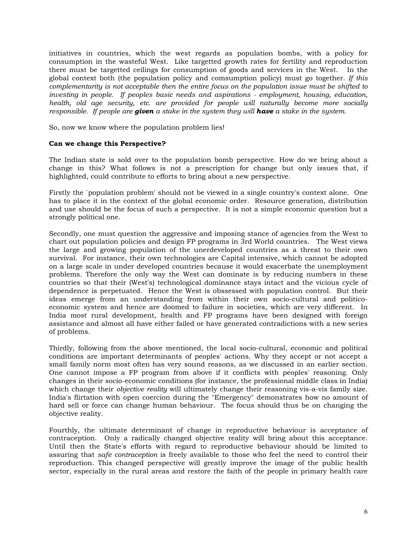initiatives in countries, which the west regards as population bombs, with a policy for consumption in the wasteful West. Like targetted growth rates for fertility and reproduction there must be targetted ceilings for consumption of goods and services in the West. In the global context both (the population policy and comsumption policy) must go together. *If this complementarity is not acceptable then the entire focus on the population issue must be shifted to investing in people. If peoples basic needs and aspirations - employment, housing, education, health, old age security, etc. are provided for people will naturally become more socially responsible. If people are given a stake in the system they will have a stake in the system.* 

So, now we know where the population problem lies!

### **Can we change this Perspective?**

The Indian state is sold over to the population bomb perspective. How do we bring about a change in this? What follows is not a prescription for change but only issues that, if highlighted, could contribute to efforts to bring about a new perspective.

Firstly the `population problem' should not be viewed in a single country's context alone. One has to place it in the context of the global economic order. Resource generation, distribution and use should be the focus of such a perspective. It is not a simple economic question but a strongly political one.

Secondly, one must question the aggressive and imposing stance of agencies from the West to chart out population policies and design FP programs in 3rd World countries. The West views the large and growing population of the unerdeveloped countries as a threat to their own survival. For instance, their own technologies are Capital intensive, which cannot be adopted on a large scale in under developed countries because it would exacerbate the unemployment problems. Therefore the only way the West can dominate is by reducing numbers in these countries so that their (West's) technological dominance stays intact and the vicious cycle of dependence is perpetuated. Hence the West is obssessed with population control. But their ideas emerge from an understanding from within their own socio-cultural and politicoeconomic system and hence are doomed to failure in societies, which are very different. In India most rural development, health and FP programs have been designed with foreign assistance and almost all have either failed or have generated contradictions with a new series of problems.

Thirdly, following from the above mentioned, the local socio-cultural, economic and political conditions are important determinants of peoples' actions. Why they accept or not accept a small family norm most often has very sound reasons, as we discussed in an earlier section. One cannot impose a FP program from above if it conflicts with peoples' reasoning. Only changes in their socio-economic conditions (for instance, the professional middle class in India) which change their *objective reality* will ultimately change their reasoning vis-a-vis family size. India's flirtation with open coercion during the "Emergency" demonstrates how no amount of hard sell or force can change human behaviour. The focus should thus be on changing the objective reality.

Fourthly, the ultimate determinant of change in reproductive behaviour is acceptance of contraception. Only a radically changed objective reality will bring about this acceptance. Until then the State's efforts with regard to reproductive behaviour should be limited to assuring that *safe contraception* is freely available to those who feel the need to control their reproduction. This changed perspective will greatly improve the image of the public health sector, especially in the rural areas and restore the faith of the people in primary health care